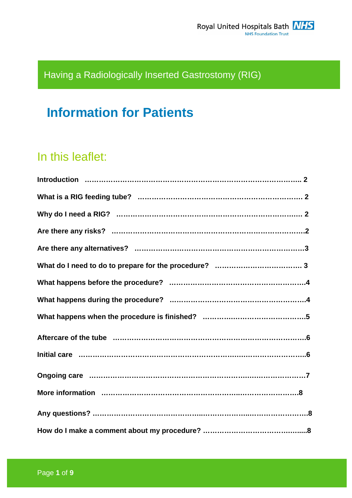## Having a Radiologically Inserted Gastrostomy (RIG)

# **Information for Patients**

## In this leaflet:

| Aftercare of the tube manufactured controlled and the tube manufactured and the tube manufactured and the tube |
|----------------------------------------------------------------------------------------------------------------|
|                                                                                                                |
|                                                                                                                |
|                                                                                                                |
|                                                                                                                |
|                                                                                                                |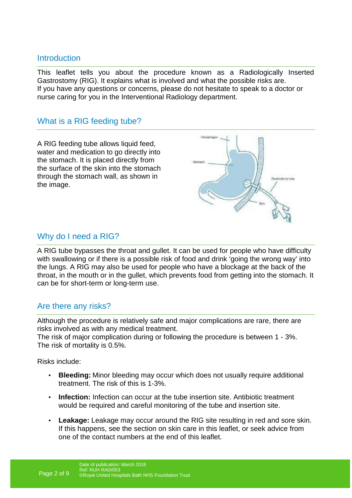## **Introduction**

This leaflet tells you about the procedure known as a Radiologically Inserted Gastrostomy (RIG). It explains what is involved and what the possible risks are. If you have any questions or concerns, please do not hesitate to speak to a doctor or nurse caring for you in the Interventional Radiology department.

## What is a RIG feeding tube?

A RIG feeding tube allows liquid feed, water and medication to go directly into the stomach. It is placed directly from the surface of the skin into the stomach through the stomach wall, as shown in the image.



## Why do I need a RIG?

A RIG tube bypasses the throat and gullet. It can be used for people who have difficulty with swallowing or if there is a possible risk of food and drink 'going the wrong way' into the lungs. A RIG may also be used for people who have a blockage at the back of the throat, in the mouth or in the gullet, which prevents food from getting into the stomach. It can be for short-term or long-term use.

## Are there any risks?

Although the procedure is relatively safe and major complications are rare, there are risks involved as with any medical treatment.

The risk of major complication during or following the procedure is between 1 - 3%. The risk of mortality is 0.5%.

Risks include:

- **Bleeding:** Minor bleeding may occur which does not usually require additional treatment. The risk of this is 1-3%.
- **Infection:** Infection can occur at the tube insertion site. Antibiotic treatment would be required and careful monitoring of the tube and insertion site.
- **Leakage:** Leakage may occur around the RIG site resulting in red and sore skin. If this happens, see the section on skin care in this leaflet, or seek advice from one of the contact numbers at the end of this leaflet.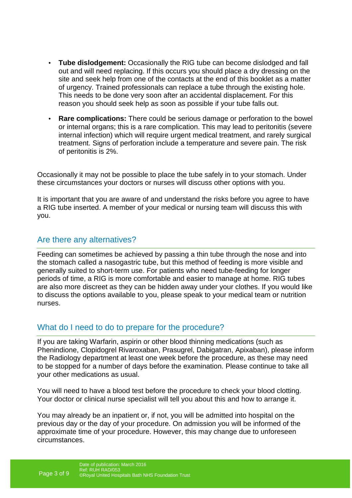- **Tube dislodgement:** Occasionally the RIG tube can become dislodged and fall out and will need replacing. If this occurs you should place a dry dressing on the site and seek help from one of the contacts at the end of this booklet as a matter of urgency. Trained professionals can replace a tube through the existing hole. This needs to be done very soon after an accidental displacement. For this reason you should seek help as soon as possible if your tube falls out.
- **Rare complications:** There could be serious damage or perforation to the bowel or internal organs; this is a rare complication. This may lead to peritonitis (severe internal infection) which will require urgent medical treatment, and rarely surgical treatment. Signs of perforation include a temperature and severe pain. The risk of peritonitis is 2%.

Occasionally it may not be possible to place the tube safely in to your stomach. Under these circumstances your doctors or nurses will discuss other options with you.

It is important that you are aware of and understand the risks before you agree to have a RIG tube inserted. A member of your medical or nursing team will discuss this with you.

## Are there any alternatives?

Feeding can sometimes be achieved by passing a thin tube through the nose and into the stomach called a nasogastric tube, but this method of feeding is more visible and generally suited to short-term use. For patients who need tube-feeding for longer periods of time, a RIG is more comfortable and easier to manage at home. RIG tubes are also more discreet as they can be hidden away under your clothes. If you would like to discuss the options available to you, please speak to your medical team or nutrition nurses.

## What do I need to do to prepare for the procedure?

If you are taking Warfarin, aspirin or other blood thinning medications (such as Phenindione, Clopidogrel Rivaroxaban, Prasugrel, Dabigatran, Apixaban), please inform the Radiology department at least one week before the procedure, as these may need to be stopped for a number of days before the examination. Please continue to take all your other medications as usual.

You will need to have a blood test before the procedure to check your blood clotting. Your doctor or clinical nurse specialist will tell you about this and how to arrange it.

You may already be an inpatient or, if not, you will be admitted into hospital on the previous day or the day of your procedure. On admission you will be informed of the approximate time of your procedure. However, this may change due to unforeseen circumstances.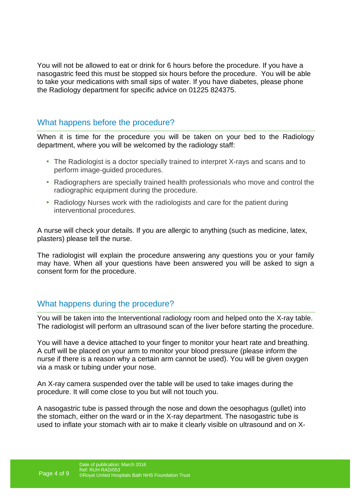You will not be allowed to eat or drink for 6 hours before the procedure. If you have a nasogastric feed this must be stopped six hours before the procedure. You will be able to take your medications with small sips of water. If you have diabetes, please phone the Radiology department for specific advice on 01225 824375.

## What happens before the procedure?

When it is time for the procedure you will be taken on your bed to the Radiology department, where you will be welcomed by the radiology staff:

- The Radiologist is a doctor specially trained to interpret X-rays and scans and to perform image-guided procedures.
- Radiographers are specially trained health professionals who move and control the radiographic equipment during the procedure.
- Radiology Nurses work with the radiologists and care for the patient during interventional procedures.

A nurse will check your details. If you are allergic to anything (such as medicine, latex, plasters) please tell the nurse.

The radiologist will explain the procedure answering any questions you or your family may have. When all your questions have been answered you will be asked to sign a consent form for the procedure.

## What happens during the procedure?

You will be taken into the Interventional radiology room and helped onto the X-ray table. The radiologist will perform an ultrasound scan of the liver before starting the procedure.

You will have a device attached to your finger to monitor your heart rate and breathing. A cuff will be placed on your arm to monitor your blood pressure (please inform the nurse if there is a reason why a certain arm cannot be used). You will be given oxygen via a mask or tubing under your nose.

An X-ray camera suspended over the table will be used to take images during the procedure. It will come close to you but will not touch you.

A nasogastric tube is passed through the nose and down the oesophagus (gullet) into the stomach, either on the ward or in the X-ray department. The nasogastric tube is used to inflate your stomach with air to make it clearly visible on ultrasound and on X-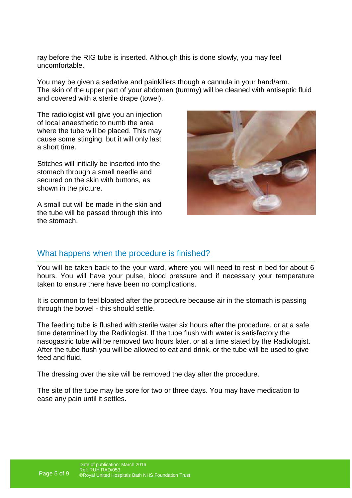ray before the RIG tube is inserted. Although this is done slowly, you may feel uncomfortable.

You may be given a sedative and painkillers though a cannula in your hand/arm. The skin of the upper part of your abdomen (tummy) will be cleaned with antiseptic fluid and covered with a sterile drape (towel).

The radiologist will give you an injection of local anaesthetic to numb the area where the tube will be placed. This may cause some stinging, but it will only last a short time.

Stitches will initially be inserted into the stomach through a small needle and secured on the skin with buttons, as shown in the picture.

A small cut will be made in the skin and the tube will be passed through this into the stomach.



### What happens when the procedure is finished?

You will be taken back to the your ward, where you will need to rest in bed for about 6 hours. You will have your pulse, blood pressure and if necessary your temperature taken to ensure there have been no complications.

It is common to feel bloated after the procedure because air in the stomach is passing through the bowel - this should settle.

The feeding tube is flushed with sterile water six hours after the procedure, or at a safe time determined by the Radiologist. If the tube flush with water is satisfactory the nasogastric tube will be removed two hours later, or at a time stated by the Radiologist. After the tube flush you will be allowed to eat and drink, or the tube will be used to give feed and fluid.

The dressing over the site will be removed the day after the procedure.

The site of the tube may be sore for two or three days. You may have medication to ease any pain until it settles.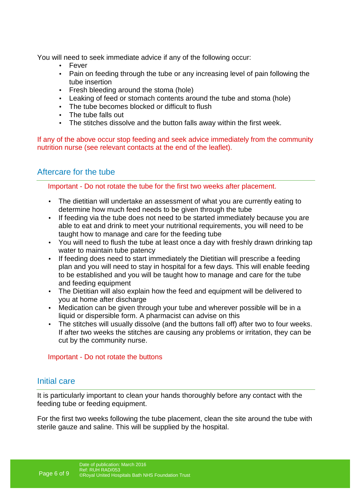You will need to seek immediate advice if any of the following occur:

- **Fever**
- Pain on feeding through the tube or any increasing level of pain following the tube insertion
- Fresh bleeding around the stoma (hole)
- Leaking of feed or stomach contents around the tube and stoma (hole)
- The tube becomes blocked or difficult to flush
- The tube falls out
- The stitches dissolve and the button falls away within the first week.

If any of the above occur stop feeding and seek advice immediately from the community nutrition nurse (see relevant contacts at the end of the leaflet).

## Aftercare for the tube

Important - Do not rotate the tube for the first two weeks after placement.

- The dietitian will undertake an assessment of what you are currently eating to determine how much feed needs to be given through the tube
- If feeding via the tube does not need to be started immediately because you are able to eat and drink to meet your nutritional requirements, you will need to be taught how to manage and care for the feeding tube
- You will need to flush the tube at least once a day with freshly drawn drinking tap water to maintain tube patency
- If feeding does need to start immediately the Dietitian will prescribe a feeding plan and you will need to stay in hospital for a few days. This will enable feeding to be established and you will be taught how to manage and care for the tube and feeding equipment
- The Dietitian will also explain how the feed and equipment will be delivered to you at home after discharge
- Medication can be given through your tube and wherever possible will be in a liquid or dispersible form. A pharmacist can advise on this
- The stitches will usually dissolve (and the buttons fall off) after two to four weeks. If after two weeks the stitches are causing any problems or irritation, they can be cut by the community nurse.

### Important - Do not rotate the buttons

## Initial care

It is particularly important to clean your hands thoroughly before any contact with the feeding tube or feeding equipment.

For the first two weeks following the tube placement, clean the site around the tube with sterile gauze and saline. This will be supplied by the hospital.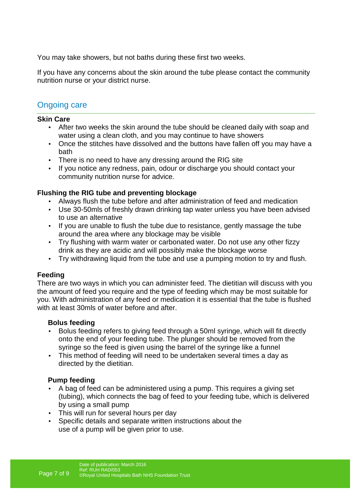You may take showers, but not baths during these first two weeks.

If you have any concerns about the skin around the tube please contact the community nutrition nurse or your district nurse.

## Ongoing care

#### **Skin Care**

- After two weeks the skin around the tube should be cleaned daily with soap and water using a clean cloth, and you may continue to have showers
- Once the stitches have dissolved and the buttons have fallen off you may have a bath
- There is no need to have any dressing around the RIG site
- If you notice any redness, pain, odour or discharge you should contact your community nutrition nurse for advice.

### **Flushing the RIG tube and preventing blockage**

- Always flush the tube before and after administration of feed and medication
- Use 30-50mls of freshly drawn drinking tap water unless you have been advised to use an alternative
- If you are unable to flush the tube due to resistance, gently massage the tube around the area where any blockage may be visible
- Try flushing with warm water or carbonated water. Do not use any other fizzy drink as they are acidic and will possibly make the blockage worse
- Try withdrawing liquid from the tube and use a pumping motion to try and flush.

### **Feeding**

There are two ways in which you can administer feed. The dietitian will discuss with you the amount of feed you require and the type of feeding which may be most suitable for you. With administration of any feed or medication it is essential that the tube is flushed with at least 30mls of water before and after.

#### **Bolus feeding**

- Bolus feeding refers to giving feed through a 50ml syringe, which will fit directly onto the end of your feeding tube. The plunger should be removed from the syringe so the feed is given using the barrel of the syringe like a funnel
- This method of feeding will need to be undertaken several times a day as directed by the dietitian.

### **Pump feeding**

- A bag of feed can be administered using a pump. This requires a giving set (tubing), which connects the bag of feed to your feeding tube, which is delivered by using a small pump
- This will run for several hours per day
- Specific details and separate written instructions about the use of a pump will be given prior to use.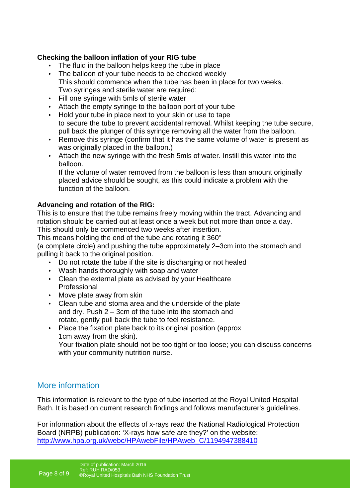#### **Checking the balloon inflation of your RIG tube**

- The fluid in the balloon helps keep the tube in place
- The balloon of your tube needs to be checked weekly This should commence when the tube has been in place for two weeks. Two syringes and sterile water are required:
- Fill one syringe with 5mls of sterile water
- Attach the empty syringe to the balloon port of your tube
- Hold your tube in place next to your skin or use to tape to secure the tube to prevent accidental removal. Whilst keeping the tube secure, pull back the plunger of this syringe removing all the water from the balloon.
- Remove this syringe (confirm that it has the same volume of water is present as was originally placed in the balloon.)
- Attach the new syringe with the fresh 5mls of water. Instill this water into the balloon.

If the volume of water removed from the balloon is less than amount originally placed advice should be sought, as this could indicate a problem with the function of the balloon.

#### **Advancing and rotation of the RIG:**

This is to ensure that the tube remains freely moving within the tract. Advancing and rotation should be carried out at least once a week but not more than once a day. This should only be commenced two weeks after insertion.

This means holding the end of the tube and rotating it 360°

(a complete circle) and pushing the tube approximately 2–3cm into the stomach and pulling it back to the original position.

- Do not rotate the tube if the site is discharging or not healed
- Wash hands thoroughly with soap and water
- Clean the external plate as advised by your Healthcare Professional
- Move plate away from skin
- Clean tube and stoma area and the underside of the plate and dry. Push 2 – 3cm of the tube into the stomach and rotate, gently pull back the tube to feel resistance.
- Place the fixation plate back to its original position (approx 1cm away from the skin). Your fixation plate should not be too tight or too loose; you can discuss concerns with your community nutrition nurse.

## More information

This information is relevant to the type of tube inserted at the Royal United Hospital Bath. It is based on current research findings and follows manufacturer's guidelines.

For information about the effects of x-rays read the National Radiological Protection Board (NRPB) publication: 'X-rays how safe are they?' on the website: http://www.hpa.org.uk/webc/HPAwebFile/HPAweb\_C/1194947388410